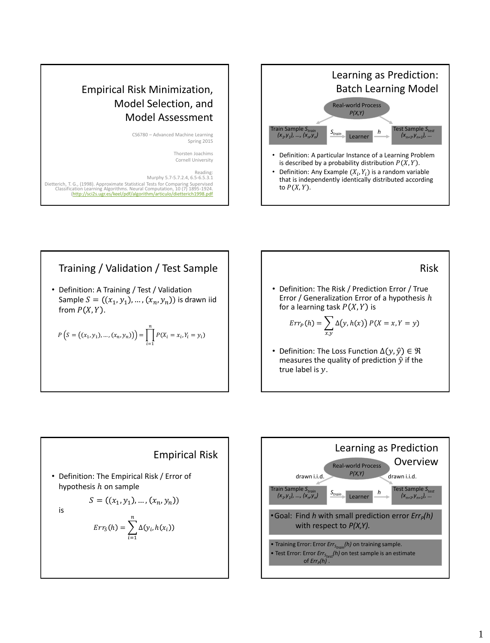# Empirical Risk Minimization, Model Selection, and Model Assessment

CS6780 – Advanced Machine Learning Spring 2015

> Thorsten Joachims Cornell University

Reading: Murphy 5.7-5.7.2.4, 6.5-6.5.3.1 Dietterich, T. G., (1998). Approximate Statistical Tests for Comparing Supervised<br>Classification Learning Algorithms. Neural Computation, 10 (7) 1895-1924.<br>http://sci2s.ugr.es/keel/pdf/algorithm/articulo/dietterich1998.pdf



Training / Validation / Test Sample

• Definition: A Training / Test / Validation Sample  $S = ((x_1, y_1), ..., (x_n, y_n))$  is drawn iid from  $P(X, Y)$ .

$$
P(S = ((x_1, y_1), ..., (x_n, y_n)) = \prod_{i=1}^n P(X_i = x_i, Y_i = y_i)
$$

\n- Definition: The Risk / Prediction Error / True Error / Generalization Error of a hypothesis *h* for a learning task *P*(*X, Y*) is
\n- $$
Err_P(h) = \sum_{x,y} \Delta(y, h(x)) P(X = x, Y = y)
$$
\n- Definition: The Loss Function  $\Delta(y, \hat{y}) \in \Re$  measures the quality of prediction  $\hat{y}$  if the true label is *y*.
\n



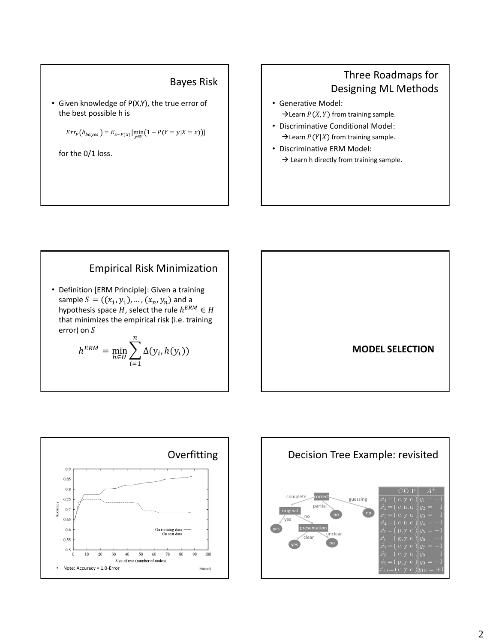#### Bayes Risk

• Given knowledge of P(X,Y), the true error of the best possible h is

 $Err_P(h_{bayes}) = E_{x \sim P(X)}[\min_{y \in Y} (1 - P(Y = y | X = x))]$ 

for the 0/1 loss.

### Three Roadmaps for Designing ML Methods

- Generative Model:  $\rightarrow$  Learn  $P(X, Y)$  from training sample.
- Discriminative Conditional Model:  $\rightarrow$  Learn  $P(Y|X)$  from training sample.
- Discriminative ERM Model:  $\rightarrow$  Learn h directly from training sample.

### Empirical Risk Minimization

• Definition [ERM Principle]: Given a training sample  $S = ((x_1, y_1), ..., (x_n, y_n)$  and a hypothesis space  $H$ , select the rule  $h^{ERM} \in H$ that minimizes the empirical risk (i.e. training error) on

$$
h^{ERM} = \min_{h \in H} \sum_{i=1}^{n} \Delta(y_i, h(y_i))
$$





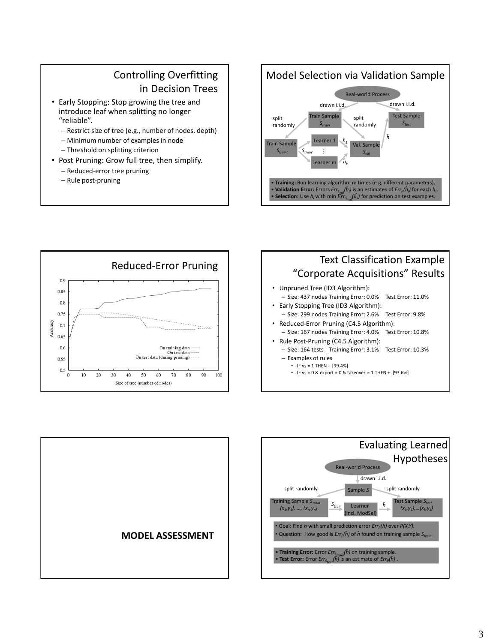## Controlling Overfitting in Decision Trees

- Early Stopping: Stop growing the tree and introduce leaf when splitting no longer "reliable".
	- Restrict size of tree (e.g., number of nodes, depth)
	- Minimum number of examples in node
	- Threshold on splitting criterion
- Post Pruning: Grow full tree, then simplify.
	- Reduced-error tree pruning
	- Rule post-pruning